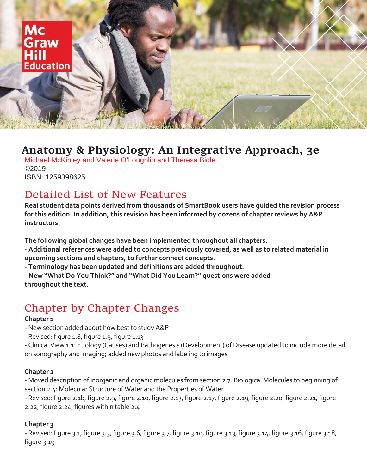

# **Anatomy & Physiology: An Integrative Approach, 3e**

Michael McKinley and Valerie O'Loughlin and Theresa Bidle ©2019 ISBN: 1259398625

# Detailed List of New Features

**Real student data points derived from thousands of SmartBook users have guided the revision process for this edition. In addition, this revision has been informed by dozens of chapter reviews by A&P instructors.**

**The following global changes have been implemented throughout all chapters:**

- **- Additional references were added to concepts previously covered, as well as to related material in upcoming sections and chapters, to further connect concepts.**
- **- Terminology has been updated and definitions are added throughout.**
- **- New "What Do You Think?" and "What Did You Learn?" questions were added throughout the text.**

# Chapter by Chapter Changes

#### **Chapter 1**

- -New section added about how best to study A&P
- Revised: figure 1.8, figure 1.9, figure 1.13
- Clinical View 1.1: Etiology (Causes) and Pathogenesis (Development) of Disease updated to include more detail on sonography and imaging; added new photos and labeling to images

#### **Chapter 2**

- Moved description of inorganic and organic molecules from section 2.7: Biological Molecules to beginning of section 2.4: Molecular Structure of Water and the Properties of Water
- Revised: figure 2.1b, figure 2.9, figure 2.10, figure 2.13, figure 2.17, figure 2.19, figure 2.20, figure 2.21, figure 2.22, figure 2.24, figures within table 2.4

# **Chapter 3**

- Revised: figure 3.1, figure 3.3, figure 3.6, figure 3.7, figure 3.10, figure 3.13, figure 3.14, figure 3.16, figure 3.18, figure 3.19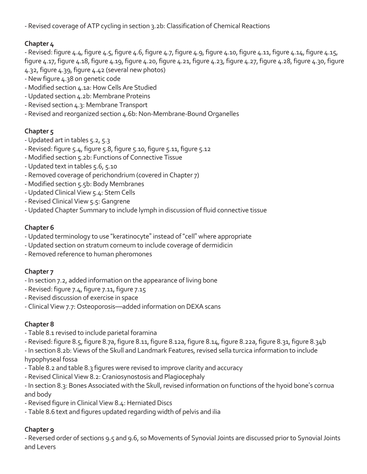- Revised coverage of ATP cycling in section 3.2b: Classification of Chemical Reactions

# **Chapter 4**

 $-$  Revised: figure 4.4, figure 4.5, figure 4.6, figure 4.7, figure 4.9, figure 4.10, figure 4.11, figure 4.14, figure 4.15, figure 4.17, figure 4.18, figure 4.19, figure 4.20, figure 4.21, figure 4.23, figure 4.27, figure 4.28, figure 4.30, figure 4.32, figure 4.39, figure 4.42 (several new photos)

- -New figure 4.38 on genetic code
- Modified section 4.1a: How Cells Are Studied
- Updated section 4.2b: Membrane Proteins
- Revised section 4.3: Membrane Transport
- Revised and reorganized section 4.6b: Non-Membrane-Bound Organelles

# **Chapter 5**

- Updated art in tables 5.2, 5.3
- Revised: figure 5.4, figure 5.8, figure 5.10, figure 5.11, figure 5.12
- Modified section 5.2b: Functions of Connective Tissue
- Updated text in tables 5.6, 5.10
- Removed coverage of perichondrium (covered in Chapter 7)
- Modified section 5.5b: Body Membranes
- Updated Clinical View 5.4: Stem Cells
- Revised Clinical View 5.5: Gangrene
- Updated Chapter Summary to include lymph in discussion of fluid connective tissue

# **Chapter 6**

- Updated terminology to use "keratinocyte" instead of "cell" where appropriate
- Updated section on stratum corneum to include coverage of dermidicin
- Removed reference to human pheromones

# **Chapter 7**

- In section 7.2, added information on the appearance of living bone
- Revised: figure 7.4, figure 7.11, figure 7.15
- Revised discussion of exercise in space
- Clinical View 7.7: Osteoporosis—added information on DEXA scans

# **Chapter 8**

- Table 8.1 revised to include parietal foramina
- Revised: figure 8.5, figure 8.7a, figure 8.11, figure 8.12a, figure 8.14, figure 8.22a, figure 8.31, figure 8.34b
- In section 8.2b: Views of the Skull and Landmark Features, revised sella turcica information to include hypophyseal fossa
- Table 8.2 and table 8.3 figures were revised to improve clarity and accuracy
- Revised Clinical View 8.2: Craniosynostosis and Plagiocephaly
- In section 8.3: Bones Associated with the Skull, revised information on functions of the hyoid bone's cornua and body
- Revised figure in Clinical View 8.4: Herniated Discs
- Table 8.6 text and figures updated regarding width of pelvis and ilia

# **Chapter 9**

- Reversed order of sections 9.5 and 9.6, so Movements of Synovial Joints are discussed prior to Synovial Joints and Levers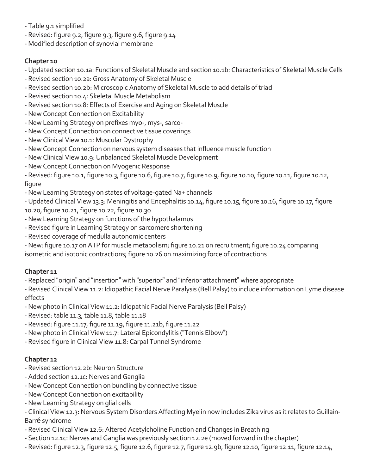- Table 9.1 simplified
- Revised: figure 9.2, figure 9.3, figure 9.6, figure 9.14
- Modified description of synovial membrane

#### **Chapter 10**

- Updated section 10.1a: Functions of Skeletal Muscle and section 10.1b: Characteristics of Skeletal Muscle Cells
- Revised section 10.2a: Gross Anatomy of Skeletal Muscle
- Revised section 10.2b: Microscopic Anatomy of Skeletal Muscle to add details of triad
- Revised section 10.4: Skeletal Muscle Metabolism
- Revised section 10.8: Effects of Exercise and Aging on Skeletal Muscle
- -New Concept Connection on Excitability
- -New Learning Strategy on prefixes myo-, mys-, sarco-
- -New Concept Connection on connective tissue coverings
- -New Clinical View 10.1: Muscular Dystrophy
- -New Concept Connection on nervous system diseases that influence muscle function
- -New Clinical View 10.9: Unbalanced Skeletal Muscle Development
- -New Concept Connection on Myogenic Response

- Revised: figure 10.1, figure 10.3, figure 10.6, figure 10.7, figure 10.9, figure 10.10, figure 10.11, figure 10.12, figure

-New Learning Strategy on states of voltage-gated Na+ channels

- Updated Clinical View 13.3: Meningitis and Encephalitis 10.14, figure 10.15, figure 10.16, figure 10.17, figure 10.20, figure 10.21, figure 10.22, figure 10.30

- -New Learning Strategy on functions of the hypothalamus
- Revised figure in Learning Strategy on sarcomere shortening
- Revised coverage of medulla autonomic centers

-New: figure 10.17 on ATP for muscle metabolism; figure 10.21 on recruitment; figure 10.24 comparing isometric and isotonic contractions; figure 10.26 on maximizing force of contractions

# **Chapter 11**

- Replaced "origin" and "insertion" with "superior" and "inferior attachment" where appropriate

- Revised Clinical View 11.2: Idiopathic Facial Nerve Paralysis (Bell Palsy) to include information on Lyme disease effects

- -New photo in Clinical View 11.2: Idiopathic Facial Nerve Paralysis (Bell Palsy)
- Revised: table 11.3, table 11.8, table 11.18
- Revised: figure 11.17, figure 11.19, figure 11.21b, figure 11.22
- -New photo in Clinical View 11.7: Lateral Epicondylitis ("Tennis Elbow")
- Revised figure in Clinical View 11.8: Carpal Tunnel Syndrome

# **Chapter 12**

- Revised section 12.2b: Neuron Structure
- Added section 12.1c: Nerves and Ganglia
- -New Concept Connection on bundling by connective tissue
- -New Concept Connection on excitability
- -New Learning Strategy on glial cells

- Clinical View 12.3: Nervous System Disorders Affecting Myelin now includes Zika virus as it relates to Guillain-Barré syndrome

- Revised Clinical View 12.6: Altered Acetylcholine Function and Changes in Breathing
- Section 12.1c: Nerves and Ganglia was previously section 12.2e (moved forward in the chapter)
- Revised: figure 12.3, figure 12.5, figure 12.6, figure 12.7, figure 12.9b, figure 12.10, figure 12.11, figure 12.14,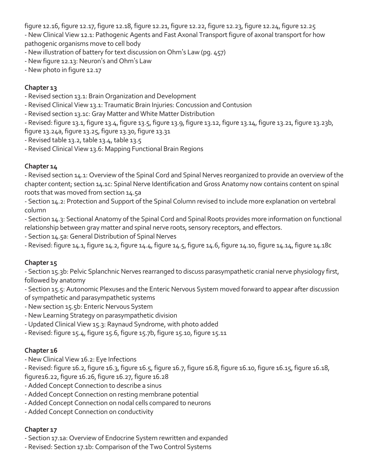figure 12.16, figure 12.17, figure 12.18, figure 12.21, figure 12.22, figure 12.23, figure 12.24, figure 12.25

-New Clinical View 12.1: Pathogenic Agents and Fast Axonal Transport figure of axonal transport for how pathogenic organisms move to cell body

- -New illustration of battery for text discussion on Ohm's Law (pg. 457)
- -New figure 12.13: Neuron's and Ohm's Law
- -New photo in figure 12.17

### **Chapter 13**

- Revised section 13.1: Brain Organization and Development
- Revised Clinical View 13.1: Traumatic Brain Injuries: Concussion and Contusion
- Revised section 13.1c: Gray Matter and White Matter Distribution
- Revised: figure 13.1, figure 13.4, figure 13.5, figure 13.9, figure 13.12, figure 13.14, figure 13.21, figure 13.23b, figure 13.24a, figure 13.25, figure 13.30, figure 13.31
- Revised table 13.2, table 13.4, table 13.5
- Revised Clinical View 13.6: Mapping Functional Brain Regions

#### **Chapter 14**

- Revised section 14.1: Overview of the Spinal Cord and Spinal Nerves reorganized to provide an overview of the chapter content; section 14.1c: Spinal Nerve Identification and Gross Anatomy now contains content on spinal roots that was moved from section 14.5a

- Section 14.2: Protection and Support of the Spinal Column revised to include more explanation on vertebral column

- Section 14.3: Sectional Anatomy of the Spinal Cord and Spinal Roots provides more information on functional relationship between gray matter and spinal nerve roots, sensory receptors, and effectors.

- Section 14.5a: General Distribution of Spinal Nerves
- Revised: figure 14.1, figure 14.2, figure 14.4, figure 14.5, figure 14.6, figure 14.10, figure 14.14, figure 14.18c

#### **Chapter 15**

- Section 15.3b: Pelvic Splanchnic Nerves rearranged to discuss parasympathetic cranial nerve physiology first, followed by anatomy

- Section 15.5: Autonomic Plexuses and the Enteric Nervous System moved forward to appear after discussion of sympathetic and parasympathetic systems

- -New section 15.5b: Enteric Nervous System
- -New Learning Strategy on parasympathetic division
- Updated Clinical View 15.3: Raynaud Syndrome, with photo added
- Revised: figure 15.4, figure 15.6, figure 15.7b, figure 15.10, figure 15.11

# **Chapter 16**

-New Clinical View 16.2: Eye Infections

- Revised: figure 16.2, figure 16.3, figure 16.5, figure 16.7, figure 16.8, figure 16.10, figure 16.15, figure 16.18, figure16.22, figure 16.26, figure 16.27, figure 16.28

- Added Concept Connection to describe a sinus
- Added Concept Connection on resting membrane potential
- Added Concept Connection on nodal cells compared to neurons
- Added Concept Connection on conductivity

# **Chapter 17**

- Section 17.1a: Overview of Endocrine System rewritten and expanded
- Revised: Section 17.1b: Comparison of the Two Control Systems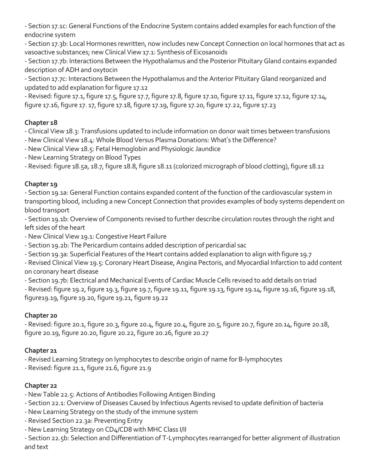- Section 17.1c: General Functions of the Endocrine System contains added examples for each function of the endocrine system

- Section 17.3b: Local Hormones rewritten, now includes new Concept Connection on local hormones that act as vasoactive substances; new Clinical View 17.1: Synthesis of Eicosanoids

- Section 17.7b: Interactions Between the Hypothalamus and the Posterior Pituitary Gland contains expanded description of ADH and oxytocin

- Section 17.7c: Interactions Between the Hypothalamus and the Anterior Pituitary Gland reorganized and updated to add explanation for figure 17.12

- Revised: figure 17.1, figure 17.5, figure 17.7, figure 17.8, figure 17.10, figure 17.11, figure 17.12, figure 17.14, figure 17.16, figure 17. 17, figure 17.18, figure 17.19, figure 17.20, figure 17.22, figure 17.23

#### **Chapter 18**

- Clinical View 18.3: Transfusions updated to include information on donor wait times between transfusions

- -New Clinical View 18.4: Whole Blood Versus Plasma Donations: What's the Difference?
- -New Clinical View 18.5: Fetal Hemoglobin and Physiologic Jaundice
- -New Learning Strategy on Blood Types
- Revised: figure 18.5a, 18.7, figure 18.8, figure 18.11 (colorized micrograph of blood clotting), figure 18.12

#### **Chapter 19**

- Section 19.1a: General Function contains expanded content of the function of the cardiovascular system in transporting blood, including a new Concept Connection that provides examples of body systems dependent on blood transport

- Section 19.1b: Overview of Components revised to further describe circulation routes through the right and left sides of the heart

-New Clinical View 19.1: Congestive Heart Failure

- Section 19.2b: The Pericardium contains added description of pericardial sac
- Section 19.3a: Superficial Features of the Heart contains added explanation to align with figure 19.7

- Revised Clinical View 19.5: Coronary Heart Disease, Angina Pectoris, and Myocardial Infarction to add content on coronary heart disease

- Section 19.7b: Electrical and Mechanical Events of Cardiac Muscle Cells revised to add details on triad

- Revised: figure 19.2, figure 19.3, figure 19.7, figure 19.11, figure 19.13, figure 19.14, figure 19.16, figure 19.18, figure19.19, figure 19.20, figure 19.21, figure 19.22

# **Chapter 20**

- Revised: figure 20.1, figure 20.3, figure 20.4, figure 20.4, figure 20.5, figure 20.7, figure 20.14, figure 20.18, figure 20.19, figure 20.20, figure 20.22, figure 20.26, figure 20.27

# **Chapter 21**

- Revised Learning Strategy on lymphocytes to describe origin of name for B-lymphocytes

- Revised: figure 21.1, figure 21.6, figure 21.9

# **Chapter 22**

-New Table 22.5: Actions of Antibodies Following Antigen Binding

- Section 22.1: Overview of Diseases Caused by Infectious Agents revised to update definition of bacteria
- -New Learning Strategy on the study of the immune system
- Revised Section 22.3a: Preventing Entry
- -New Learning Strategy on CD4/CD8 with MHC Class I/II

- Section 22.5b: Selection and Differentiation of T-Lymphocytes rearranged for better alignment of illustration and text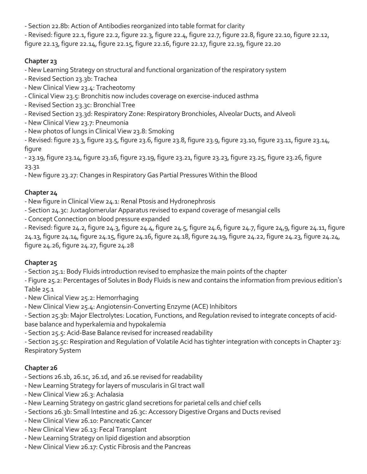- Section 22.8b: Action of Antibodies reorganized into table format for clarity

- Revised: figure 22.1, figure 22.2, figure 22.3, figure 22.4, figure 22.7, figure 22.8, figure 22.10, figure 22.12, figure 22.13, figure 22.14, figure 22.15, figure 22.16, figure 22.17, figure 22.19, figure 22.20

# **Chapter 23**

-New Learning Strategy on structural and functional organization of the respiratory system

- Revised Section 23.3b: Trachea
- -New Clinical View 23.4: Tracheotomy
- Clinical View 23.5: Bronchitis now includes coverage on exercise-induced asthma
- Revised Section 23.3c: Bronchial Tree
- Revised Section 23.3d: Respiratory Zone: Respiratory Bronchioles, Alveolar Ducts, and Alveoli
- -New Clinical View 23.7: Pneumonia
- -New photos of lungs in Clinical View 23.8: Smoking

- Revised: figure 23.3, figure 23.5, figure 23.6, figure 23.8, figure 23.9, figure 23.10, figure 23.11, figure 23.14, figure

- 23.19, figure 23.14, figure 23.16, figure 23.19, figure 23.21, figure 23.23, figure 23.25, figure 23.26, figure 23.31

-New figure 23.27: Changes in Respiratory Gas Partial Pressures Within the Blood

# **Chapter 24**

-New figure in Clinical View 24.1: Renal Ptosis and Hydronephrosis

- Section 24.3c: Juxtaglomerular Apparatus revised to expand coverage of mesangial cells
- Concept Connection on blood pressure expanded

- Revised: figure 24.2, figure 24.3, figure 24.4, figure 24.5, figure 24.6, figure 24.7, figure 24,9, figure 24.11, figure 24.13, figure 24.14, figure 24.15, figure 24.16, figure 24.18, figure 24.19, figure 24.22, figure 24.23, figure 24.24, figure 24.26, figure 24.27, figure 24.28

# **Chapter 25**

- Section 25.1: Body Fluids introduction revised to emphasize the main points of the chapter

- Figure 25.2: Percentages of Solutes in Body Fluids is new and contains the information from previous edition's Table 25.1

- -New Clinical View 25.2: Hemorrhaging
- -New Clinical View 25.4: Angiotensin-Converting Enzyme (ACE) Inhibitors

- Section 25.3b: Major Electrolytes: Location, Functions, and Regulation revised to integrate concepts of acidbase balance and hyperkalemia and hypokalemia

- Section 25.5: Acid-Base Balance revised for increased readability

- Section 25.5c: Respiration and Regulation of Volatile Acid has tighter integration with concepts in Chapter 23: Respiratory System

# **Chapter 26**

- Sections 26.1b, 26.1c, 26.1d, and 26.1e revised for readability
- -New Learning Strategy for layers of muscularis in GI tract wall
- -New Clinical View 26.3: Achalasia
- -New Learning Strategy on gastric gland secretions for parietal cells and chief cells
- Sections 26.3b: Small Intestine and 26.3c: Accessory Digestive Organs and Ducts revised
- -New Clinical View 26.10: Pancreatic Cancer
- -New Clinical View 26.13: Fecal Transplant
- -New Learning Strategy on lipid digestion and absorption
- -New Clinical View 26.17: Cystic Fibrosis and the Pancreas